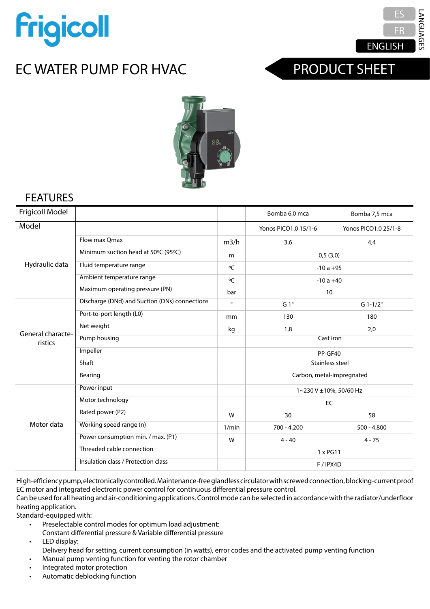

# EC WATER PUMP FOR HVAC



## PRODUCT SHEET



#### **FEATURES**

| Frigicoll Model              |                                               |              | Bomba 6,0 mca             | Bomba 7,5 mca        |
|------------------------------|-----------------------------------------------|--------------|---------------------------|----------------------|
| Model                        |                                               |              | Yonos PICO1.0 15/1-6      | Yonos PICO1.0 25/1-8 |
| Hydraulic data               | Flow max Omax                                 | m3/h         | 3,6                       | 4,4                  |
|                              | Minimum suction head at 50°C (95°C)           | m            | 0,5(3,0)                  |                      |
|                              | Fluid temperature range                       | °C           | $-10a + 95$               |                      |
|                              | Ambient temperature range                     | ٥C           | $-10a + 40$               |                      |
|                              | Maximum operating pressure (PN)               | bar          | 10                        |                      |
| General characte-<br>ristics | Discharge (DNd) and Suction (DNs) connections | $\mathbf{u}$ | G 1"                      | $G$ 1-1/2"           |
|                              | Port-to-port length (L0)                      | mm           | 130                       | 180                  |
|                              | Net weight                                    | kg           | 1,8                       | 2,0                  |
|                              | Pump housing                                  |              | Cast iron                 |                      |
|                              | Impeller                                      |              | PP-GF40                   |                      |
|                              | Shaft                                         |              | Stainless steel           |                      |
|                              | Bearing                                       |              | Carbon, metal-impregnated |                      |
| Motor data                   | Power input                                   |              | 1~230 V ±10%, 50/60 Hz    |                      |
|                              | Motor technology                              |              | EC                        |                      |
|                              | Rated power (P2)                              | W            | 30                        | 58                   |
|                              | Working speed range (n)                       | 1/min        | $700 - 4.200$             | $500 - 4.800$        |
|                              | Power consumption min. / max. (P1)            | W            | $4 - 40$                  | $4 - 75$             |
|                              | Threaded cable connection                     |              | $1 \times PG11$           |                      |
|                              | Insulation class / Protection class           |              | F / IPX4D                 |                      |

High-efficiency pump, electronically controlled. Maintenance-free glandless circulator with screwed connection, blocking-current proof EC motor and integrated electronic power control for continuous differential pressure control.

Can be used for all heating and air-conditioning applications. Control mode can be selected in accordance with the radiator/underfloor la aplicación de calefacción de suelo radiante / de radiadores. radiateurs/plancher chauffant. heating application.

mening approace...<br>Standard-equipped with:

- Modos de régulations<br>• Modes Preselectable control modes for optimum load adjustment:
- Presión diferencial constante y presión diferencial variable Pression différentielle constante et Pression différentielle variable Constant differential pressure & Variable differential pressure
- LED display:

--- ments.<br>Delivery head for setting, current consumption (in watts), error codes and the activated pump venting function • Manual pump venting function for venting the rotor chamber<br>• Manual pump venting function for venting the rotor chamber

- Funcion para la purcha motor de la purgua del compartimento del motor del motor del motor protection del motor protection
- Protection de moteur integrétion de moteur integrées du processe de la processe de la processe de la process<br>• Protection de la processe de la processe de la processe de la processe de la processe de la processe de la p • Automatic deblocking function